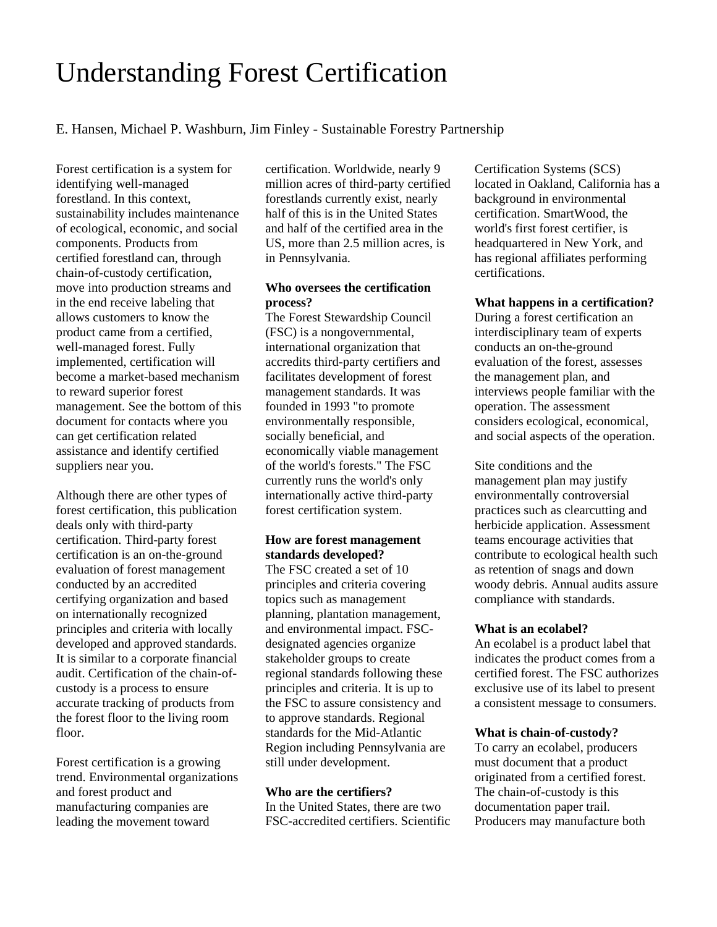# Understanding Forest Certification

E. Hansen, Michael P. Washburn, Jim Finley - Sustainable Forestry Partnership

Forest certification is a system for identifying well-managed forestland. In this context, sustainability includes maintenance of ecological, economic, and social components. Products from certified forestland can, through chain-of-custody certification, move into production streams and in the end receive labeling that allows customers to know the product came from a certified, well-managed forest. Fully implemented, certification will become a market-based mechanism to reward superior forest management. See the bottom of this document for contacts where you can get certification related assistance and identify certified suppliers near you.

Although there are other types of forest certification, this publication deals only with third-party certification. Third-party forest certification is an on-the-ground evaluation of forest management conducted by an accredited certifying organization and based on internationally recognized principles and criteria with locally developed and approved standards. It is similar to a corporate financial audit. Certification of the chain-ofcustody is a process to ensure accurate tracking of products from the forest floor to the living room floor.

Forest certification is a growing trend. Environmental organizations and forest product and manufacturing companies are leading the movement toward

certification. Worldwide, nearly 9 million acres of third-party certified forestlands currently exist, nearly half of this is in the United States and half of the certified area in the US, more than 2.5 million acres, is in Pennsylvania.

## **Who oversees the certification process?**

The Forest Stewardship Council (FSC) is a nongovernmental, international organization that accredits third-party certifiers and facilitates development of forest management standards. It was founded in 1993 "to promote environmentally responsible, socially beneficial, and economically viable management of the world's forests." The FSC currently runs the world's only internationally active third-party forest certification system.

### **How are forest management standards developed?**

The FSC created a set of 10 principles and criteria covering topics such as management planning, plantation management, and environmental impact. FSCdesignated agencies organize stakeholder groups to create regional standards following these principles and criteria. It is up to the FSC to assure consistency and to approve standards. Regional standards for the Mid-Atlantic Region including Pennsylvania are still under development.

### **Who are the certifiers?**

In the United States, there are two FSC-accredited certifiers. Scientific

Certification Systems (SCS) located in Oakland, California has a background in environmental certification. SmartWood, the world's first forest certifier, is headquartered in New York, and has regional affiliates performing certifications.

### **What happens in a certification?**

During a forest certification an interdisciplinary team of experts conducts an on-the-ground evaluation of the forest, assesses the management plan, and interviews people familiar with the operation. The assessment considers ecological, economical, and social aspects of the operation.

Site conditions and the management plan may justify environmentally controversial practices such as clearcutting and herbicide application. Assessment teams encourage activities that contribute to ecological health such as retention of snags and down woody debris. Annual audits assure compliance with standards.

#### **What is an ecolabel?**

An ecolabel is a product label that indicates the product comes from a certified forest. The FSC authorizes exclusive use of its label to present a consistent message to consumers.

### **What is chain-of-custody?**

To carry an ecolabel, producers must document that a product originated from a certified forest. The chain-of-custody is this documentation paper trail. Producers may manufacture both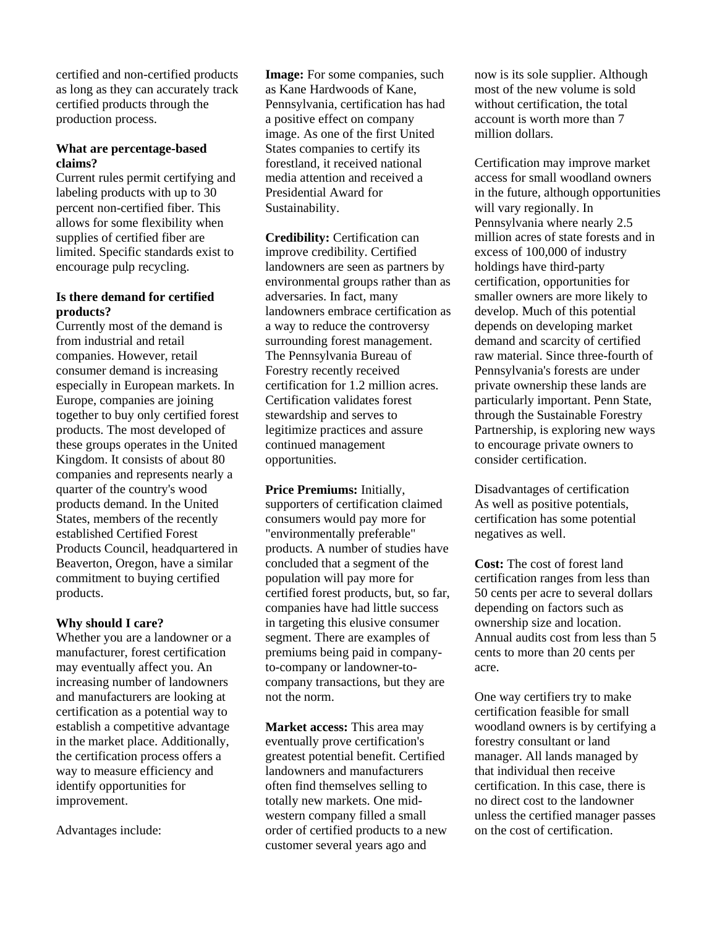certified and non-certified products as long as they can accurately track certified products through the production process.

### **What are percentage-based claims?**

Current rules permit certifying and labeling products with up to 30 percent non-certified fiber. This allows for some flexibility when supplies of certified fiber are limited. Specific standards exist to encourage pulp recycling.

## **Is there demand for certified products?**

Currently most of the demand is from industrial and retail companies. However, retail consumer demand is increasing especially in European markets. In Europe, companies are joining together to buy only certified forest products. The most developed of these groups operates in the United Kingdom. It consists of about 80 companies and represents nearly a quarter of the country's wood products demand. In the United States, members of the recently established Certified Forest Products Council, headquartered in Beaverton, Oregon, have a similar commitment to buying certified products.

### **Why should I care?**

Whether you are a landowner or a manufacturer, forest certification may eventually affect you. An increasing number of landowners and manufacturers are looking at certification as a potential way to establish a competitive advantage in the market place. Additionally, the certification process offers a way to measure efficiency and identify opportunities for improvement.

Advantages include:

**Image:** For some companies, such as Kane Hardwoods of Kane, Pennsylvania, certification has had a positive effect on company image. As one of the first United States companies to certify its forestland, it received national media attention and received a Presidential Award for Sustainability.

**Credibility:** Certification can improve credibility. Certified landowners are seen as partners by environmental groups rather than as adversaries. In fact, many landowners embrace certification as a way to reduce the controversy surrounding forest management. The Pennsylvania Bureau of Forestry recently received certification for 1.2 million acres. Certification validates forest stewardship and serves to legitimize practices and assure continued management opportunities.

**Price Premiums:** Initially, supporters of certification claimed consumers would pay more for "environmentally preferable" products. A number of studies have concluded that a segment of the population will pay more for certified forest products, but, so far, companies have had little success in targeting this elusive consumer segment. There are examples of premiums being paid in companyto-company or landowner-tocompany transactions, but they are not the norm.

**Market access:** This area may eventually prove certification's greatest potential benefit. Certified landowners and manufacturers often find themselves selling to totally new markets. One midwestern company filled a small order of certified products to a new customer several years ago and

now is its sole supplier. Although most of the new volume is sold without certification, the total account is worth more than 7 million dollars.

Certification may improve market access for small woodland owners in the future, although opportunities will vary regionally. In Pennsylvania where nearly 2.5 million acres of state forests and in excess of 100,000 of industry holdings have third-party certification, opportunities for smaller owners are more likely to develop. Much of this potential depends on developing market demand and scarcity of certified raw material. Since three-fourth of Pennsylvania's forests are under private ownership these lands are particularly important. Penn State, through the Sustainable Forestry Partnership, is exploring new ways to encourage private owners to consider certification.

Disadvantages of certification As well as positive potentials, certification has some potential negatives as well.

**Cost:** The cost of forest land certification ranges from less than 50 cents per acre to several dollars depending on factors such as ownership size and location. Annual audits cost from less than 5 cents to more than 20 cents per acre.

One way certifiers try to make certification feasible for small woodland owners is by certifying a forestry consultant or land manager. All lands managed by that individual then receive certification. In this case, there is no direct cost to the landowner unless the certified manager passes on the cost of certification.